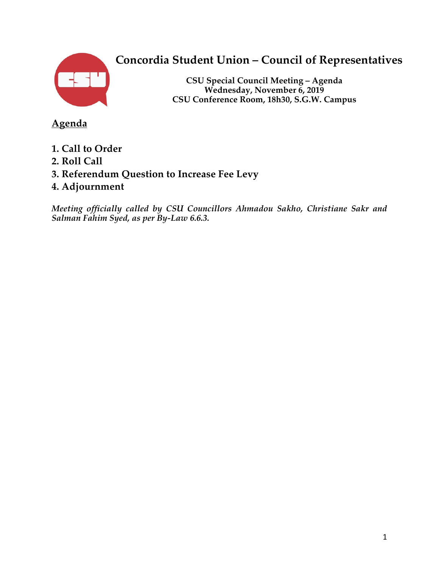

# **Concordia Student Union – Council of Representatives**

**CSU Special Council Meeting – Agenda Wednesday, November 6, 2019 CSU Conference Room, 18h30, S.G.W. Campus**

**Agenda**

- **1. Call to Order**
- **2. Roll Call**
- **3. Referendum Question to Increase Fee Levy**
- **4. Adjournment**

*Meeting officially called by CSU Councillors Ahmadou Sakho, Christiane Sakr and Salman Fahim Syed, as per By-Law 6.6.3.*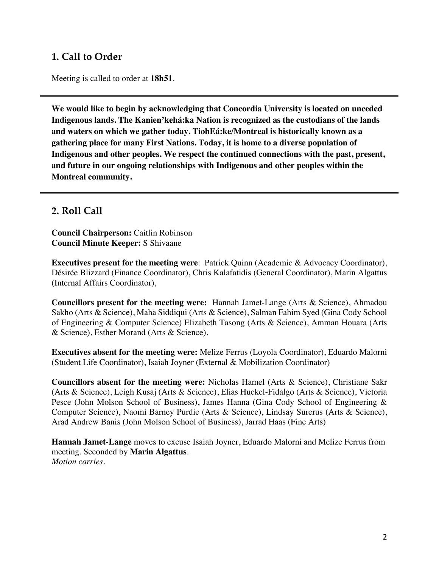## **1. Call to Order**

Meeting is called to order at **18h51**.

**We would like to begin by acknowledging that Concordia University is located on unceded Indigenous lands. The Kanien'kehá:ka Nation is recognized as the custodians of the lands and waters on which we gather today. TiohEá:ke/Montreal is historically known as a gathering place for many First Nations. Today, it is home to a diverse population of Indigenous and other peoples. We respect the continued connections with the past, present, and future in our ongoing relationships with Indigenous and other peoples within the Montreal community.**

#### **2. Roll Call**

**Council Chairperson:** Caitlin Robinson **Council Minute Keeper:** S Shivaane

**Executives present for the meeting were**: Patrick Quinn (Academic & Advocacy Coordinator), Désirée Blizzard (Finance Coordinator), Chris Kalafatidis (General Coordinator), Marin Algattus (Internal Affairs Coordinator),

**Councillors present for the meeting were:** Hannah Jamet-Lange (Arts & Science), Ahmadou Sakho (Arts & Science), Maha Siddiqui (Arts & Science), Salman Fahim Syed (Gina Cody School of Engineering & Computer Science) Elizabeth Tasong (Arts & Science), Amman Houara (Arts & Science), Esther Morand (Arts & Science),

**Executives absent for the meeting were:** Melize Ferrus (Loyola Coordinator), Eduardo Malorni (Student Life Coordinator), Isaiah Joyner (External & Mobilization Coordinator)

**Councillors absent for the meeting were:** Nicholas Hamel (Arts & Science), Christiane Sakr (Arts & Science), Leigh Kusaj (Arts & Science), Elias Huckel-Fidalgo (Arts & Science), Victoria Pesce (John Molson School of Business), James Hanna (Gina Cody School of Engineering & Computer Science), Naomi Barney Purdie (Arts & Science), Lindsay Surerus (Arts & Science), Arad Andrew Banis (John Molson School of Business), Jarrad Haas (Fine Arts)

**Hannah Jamet-Lange** moves to excuse Isaiah Joyner, Eduardo Malorni and Melize Ferrus from meeting. Seconded by **Marin Algattus**. *Motion carries.*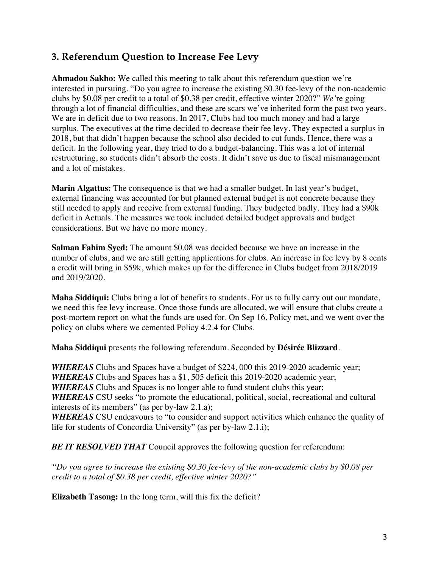## **3. Referendum Question to Increase Fee Levy**

**Ahmadou Sakho:** We called this meeting to talk about this referendum question we're interested in pursuing. "Do you agree to increase the existing \$0.30 fee-levy of the non-academic clubs by \$0.08 per credit to a total of \$0.38 per credit, effective winter 2020?" *We'*re going through a lot of financial difficulties, and these are scars we've inherited form the past two years. We are in deficit due to two reasons. In 2017, Clubs had too much money and had a large surplus. The executives at the time decided to decrease their fee levy. They expected a surplus in 2018, but that didn't happen because the school also decided to cut funds. Hence, there was a deficit. In the following year, they tried to do a budget-balancing. This was a lot of internal restructuring, so students didn't absorb the costs. It didn't save us due to fiscal mismanagement and a lot of mistakes.

**Marin Algattus:** The consequence is that we had a smaller budget. In last year's budget, external financing was accounted for but planned external budget is not concrete because they still needed to apply and receive from external funding. They budgeted badly. They had a \$90k deficit in Actuals. The measures we took included detailed budget approvals and budget considerations. But we have no more money.

**Salman Fahim Syed:** The amount \$0.08 was decided because we have an increase in the number of clubs, and we are still getting applications for clubs. An increase in fee levy by 8 cents a credit will bring in \$59k, which makes up for the difference in Clubs budget from 2018/2019 and 2019/2020.

**Maha Siddiqui:** Clubs bring a lot of benefits to students. For us to fully carry out our mandate, we need this fee levy increase. Once those funds are allocated, we will ensure that clubs create a post-mortem report on what the funds are used for. On Sep 16, Policy met, and we went over the policy on clubs where we cemented Policy 4.2.4 for Clubs.

**Maha Siddiqui** presents the following referendum. Seconded by **Désirée Blizzard**.

*WHEREAS* Clubs and Spaces have a budget of \$224, 000 this 2019-2020 academic year; *WHEREAS* Clubs and Spaces has a \$1, 505 deficit this 2019-2020 academic year; *WHEREAS* Clubs and Spaces is no longer able to fund student clubs this year; *WHEREAS* CSU seeks "to promote the educational, political, social, recreational and cultural interests of its members" (as per by-law 2.1.a);

*WHEREAS* CSU endeavours to "to consider and support activities which enhance the quality of life for students of Concordia University" (as per by-law 2.1.i);

*BE IT RESOLVED THAT* Council approves the following question for referendum:

*"Do you agree to increase the existing \$0.30 fee-levy of the non-academic clubs by \$0.08 per credit to a total of \$0.38 per credit, effective winter 2020?"*

**Elizabeth Tasong:** In the long term, will this fix the deficit?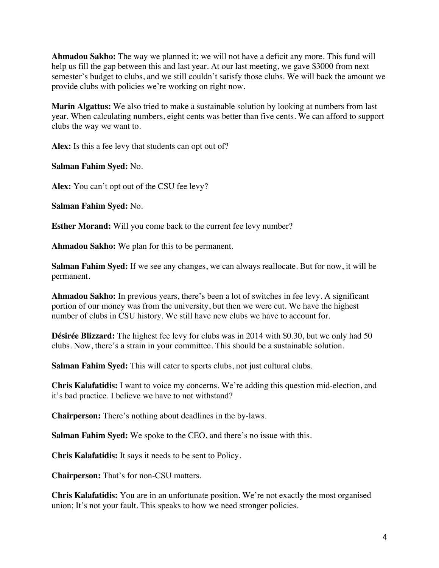**Ahmadou Sakho:** The way we planned it; we will not have a deficit any more. This fund will help us fill the gap between this and last year. At our last meeting, we gave \$3000 from next semester's budget to clubs, and we still couldn't satisfy those clubs. We will back the amount we provide clubs with policies we're working on right now.

**Marin Algattus:** We also tried to make a sustainable solution by looking at numbers from last year. When calculating numbers, eight cents was better than five cents. We can afford to support clubs the way we want to.

**Alex:** Is this a fee levy that students can opt out of?

**Salman Fahim Syed:** No.

**Alex:** You can't opt out of the CSU fee levy?

**Salman Fahim Syed:** No.

**Esther Morand:** Will you come back to the current fee levy number?

**Ahmadou Sakho:** We plan for this to be permanent.

**Salman Fahim Syed:** If we see any changes, we can always reallocate. But for now, it will be permanent.

**Ahmadou Sakho:** In previous years, there's been a lot of switches in fee levy. A significant portion of our money was from the university, but then we were cut. We have the highest number of clubs in CSU history. We still have new clubs we have to account for.

**Désirée Blizzard:** The highest fee levy for clubs was in 2014 with \$0.30, but we only had 50 clubs. Now, there's a strain in your committee. This should be a sustainable solution.

**Salman Fahim Syed:** This will cater to sports clubs, not just cultural clubs.

**Chris Kalafatidis:** I want to voice my concerns. We're adding this question mid-election, and it's bad practice. I believe we have to not withstand?

**Chairperson:** There's nothing about deadlines in the by-laws.

**Salman Fahim Syed:** We spoke to the CEO, and there's no issue with this.

**Chris Kalafatidis:** It says it needs to be sent to Policy.

**Chairperson:** That's for non-CSU matters.

**Chris Kalafatidis:** You are in an unfortunate position. We're not exactly the most organised union; It's not your fault. This speaks to how we need stronger policies.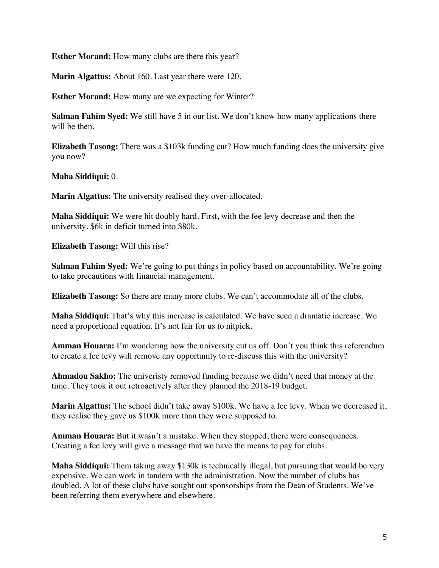**Esther Morand:** How many clubs are there this year?

**Marin Algattus:** About 160. Last year there were 120.

**Esther Morand:** How many are we expecting for Winter?

**Salman Fahim Syed:** We still have 5 in our list. We don't know how many applications there will be then.

**Elizabeth Tasong:** There was a \$103k funding cut? How much funding does the university give you now?

**Maha Siddiqui:** 0.

**Marin Algattus:** The university realised they over-allocated.

**Maha Siddiqui:** We were hit doubly hard. First, with the fee levy decrease and then the university. \$6k in deficit turned into \$80k.

**Elizabeth Tasong:** Will this rise?

**Salman Fahim Syed:** We're going to put things in policy based on accountability. We're going to take precautions with financial management.

**Elizabeth Tasong:** So there are many more clubs. We can't accommodate all of the clubs.

**Maha Siddiqui:** That's why this increase is calculated. We have seen a dramatic increase. We need a proportional equation. It's not fair for us to nitpick.

**Amman Houara:** I'm wondering how the university cut us off. Don't you think this referendum to create a fee levy will remove any opportunity to re-discuss this with the university?

**Ahmadou Sakho:** The univeristy removed funding because we didn't need that money at the time. They took it out retroactively after they planned the 2018-19 budget.

**Marin Algattus:** The school didn't take away \$100k. We have a fee levy. When we decreased it, they realise they gave us \$100k more than they were supposed to.

**Amman Houara:** But it wasn't a mistake. When they stopped, there were consequences. Creating a fee levy will give a message that we have the means to pay for clubs.

**Maha Siddiqui:** Them taking away \$130k is technically illegal, but pursuing that would be very expensive. We can work in tandem with the administration. Now the number of clubs has doubled. A lot of these clubs have sought out sponsorships from the Dean of Students. We've been referring them everywhere and elsewhere.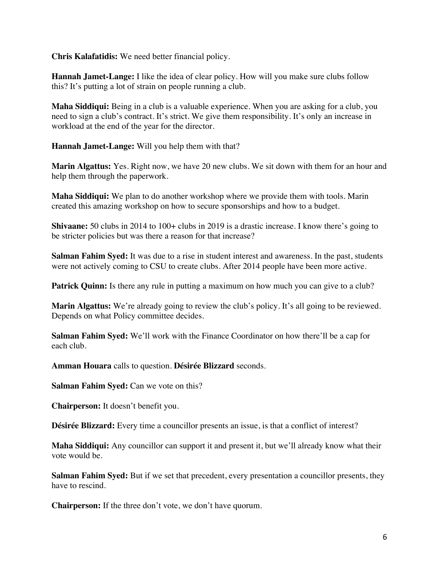**Chris Kalafatidis:** We need better financial policy.

**Hannah Jamet-Lange:** I like the idea of clear policy. How will you make sure clubs follow this? It's putting a lot of strain on people running a club.

**Maha Siddiqui:** Being in a club is a valuable experience. When you are asking for a club, you need to sign a club's contract. It's strict. We give them responsibility. It's only an increase in workload at the end of the year for the director.

**Hannah Jamet-Lange:** Will you help them with that?

**Marin Algattus:** Yes. Right now, we have 20 new clubs. We sit down with them for an hour and help them through the paperwork.

**Maha Siddiqui:** We plan to do another workshop where we provide them with tools. Marin created this amazing workshop on how to secure sponsorships and how to a budget.

**Shivaane:** 50 clubs in 2014 to 100+ clubs in 2019 is a drastic increase. I know there's going to be stricter policies but was there a reason for that increase?

**Salman Fahim Syed:** It was due to a rise in student interest and awareness. In the past, students were not actively coming to CSU to create clubs. After 2014 people have been more active.

**Patrick Quinn:** Is there any rule in putting a maximum on how much you can give to a club?

**Marin Algattus:** We're already going to review the club's policy. It's all going to be reviewed. Depends on what Policy committee decides.

**Salman Fahim Syed:** We'll work with the Finance Coordinator on how there'll be a cap for each club.

**Amman Houara** calls to question. **Désirée Blizzard** seconds.

**Salman Fahim Syed:** Can we vote on this?

**Chairperson:** It doesn't benefit you.

**Désirée Blizzard:** Every time a councillor presents an issue, is that a conflict of interest?

**Maha Siddiqui:** Any councillor can support it and present it, but we'll already know what their vote would be.

**Salman Fahim Syed:** But if we set that precedent, every presentation a councillor presents, they have to rescind.

**Chairperson:** If the three don't vote, we don't have quorum.